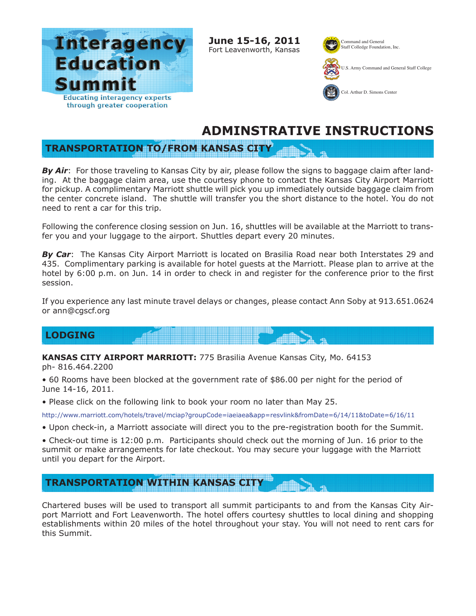

**June 15-16, 2011** Fort Leavenworth, Kansas Command and General Staff Colledge Foundation, Inc.



U.S. Army Command and General Staff College



## **ADMINSTRATIVE INSTRUCTIONS**

## **TRANSPORTATION TO/FROM KANSAS CITY**

**By Air:** For those traveling to Kansas City by air, please follow the signs to baggage claim after landing. At the baggage claim area, use the courtesy phone to contact the Kansas City Airport Marriott for pickup. A complimentary Marriott shuttle will pick you up immediately outside baggage claim from the center concrete island. The shuttle will transfer you the short distance to the hotel. You do not need to rent a car for this trip.

Following the conference closing session on Jun. 16, shuttles will be available at the Marriott to transfer you and your luggage to the airport. Shuttles depart every 20 minutes.

*By Car*: The Kansas City Airport Marriott is located on Brasilia Road near both Interstates 29 and 435. Complimentary parking is available for hotel guests at the Marriott. Please plan to arrive at the hotel by 6:00 p.m. on Jun. 14 in order to check in and register for the conference prior to the first session.

If you experience any last minute travel delays or changes, please contact Ann Soby at 913.651.0624 or ann@cgscf.org

## **LODGING**

**KANSAS CITY AIRPORT MARRIOTT:** 775 Brasilia Avenue Kansas City, Mo. 64153 ph- 816.464.2200

• 60 Rooms have been blocked at the government rate of \$86.00 per night for the period of June 14-16, 2011.

• Please click on the following link to book your room no later than May 25.

http://www.marriott.com/hotels/travel/mciap?groupCode=iaeiaea&app=resvlink&fromDate=6/14/11&toDate=6/16/11

• Upon check-in, a Marriott associate will direct you to the pre-registration booth for the Summit.

• Check-out time is 12:00 p.m. Participants should check out the morning of Jun. 16 prior to the summit or make arrangements for late checkout. You may secure your luggage with the Marriott until you depart for the Airport.

## **TRANSPORTATION WITHIN KANSAS CITY**

Chartered buses will be used to transport all summit participants to and from the Kansas City Airport Marriott and Fort Leavenworth. The hotel offers courtesy shuttles to local dining and shopping establishments within 20 miles of the hotel throughout your stay. You will not need to rent cars for this Summit.